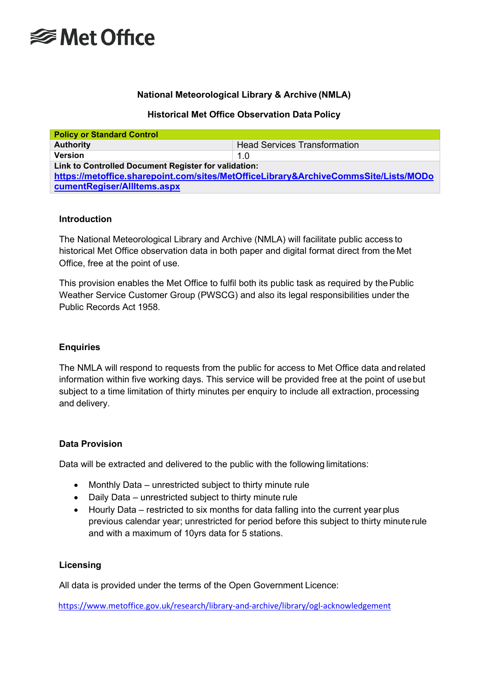

# **National Meteorological Library & Archive (NMLA)**

## **Historical Met Office Observation Data Policy**

| <b>Policy or Standard Control</b>                                                   |                                     |  |  |
|-------------------------------------------------------------------------------------|-------------------------------------|--|--|
| <b>Authority</b>                                                                    | <b>Head Services Transformation</b> |  |  |
| <b>Version</b>                                                                      | 1.0                                 |  |  |
| Link to Controlled Document Register for validation:                                |                                     |  |  |
| https://metoffice.sharepoint.com/sites/MetOfficeLibrary&ArchiveCommsSite/Lists/MODo |                                     |  |  |
| cumentRegiser/AllItems.aspx                                                         |                                     |  |  |

## **Introduction**

The National Meteorological Library and Archive (NMLA) will facilitate public access to historical Met Office observation data in both paper and digital format direct from the Met Office, free at the point of use.

This provision enables the Met Office to fulfil both its public task as required by the Public Weather Service Customer Group (PWSCG) and also its legal responsibilities under the Public Records Act 1958.

## **Enquiries**

The NMLA will respond to requests from the public for access to Met Office data and related information within five working days. This service will be provided free at the point of usebut subject to a time limitation of thirty minutes per enquiry to include all extraction, processing and delivery.

## **Data Provision**

Data will be extracted and delivered to the public with the following limitations:

- Monthly Data unrestricted subject to thirty minute rule
- Daily Data unrestricted subject to thirty minute rule
- Hourly Data restricted to six months for data falling into the current year plus previous calendar year; unrestricted for period before this subject to thirty minuterule and with a maximum of 10yrs data for 5 stations.

## **Licensing**

All data is provided under the terms of the Open Government Licence:

<https://www.metoffice.gov.uk/research/library-and-archive/library/ogl-acknowledgement>